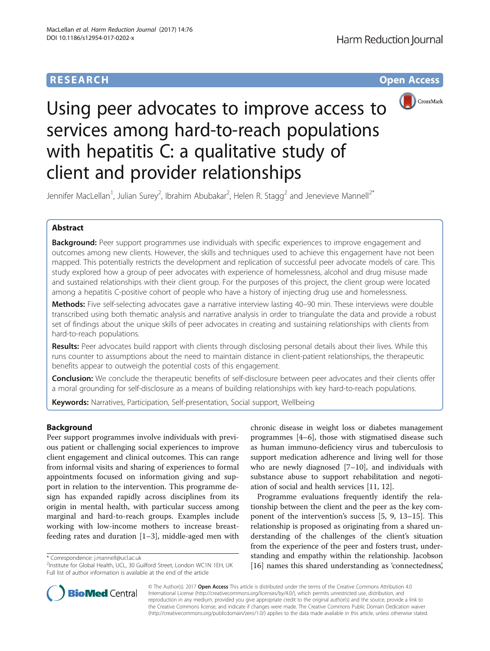# **RESEARCH CHINESE ARCH CHINESE ARCH CHINESE ARCH <b>CHINESE ARCH CHINESE ARCH CHINESE ARCH <b>CHINESE CHINESE**



# Using peer advocates to improve access to services among hard-to-reach populations with hepatitis C: a qualitative study of client and provider relationships

Jennifer MacLellan<sup>1</sup>, Julian Surey<sup>2</sup>, Ibrahim Abubakar<sup>2</sup>, Helen R. Stagg<sup>2</sup> and Jenevieve Mannell<sup>2\*</sup>

# Abstract

Background: Peer support programmes use individuals with specific experiences to improve engagement and outcomes among new clients. However, the skills and techniques used to achieve this engagement have not been mapped. This potentially restricts the development and replication of successful peer advocate models of care. This study explored how a group of peer advocates with experience of homelessness, alcohol and drug misuse made and sustained relationships with their client group. For the purposes of this project, the client group were located among a hepatitis C-positive cohort of people who have a history of injecting drug use and homelessness.

Methods: Five self-selecting advocates gave a narrative interview lasting 40-90 min. These interviews were double transcribed using both thematic analysis and narrative analysis in order to triangulate the data and provide a robust set of findings about the unique skills of peer advocates in creating and sustaining relationships with clients from hard-to-reach populations.

Results: Peer advocates build rapport with clients through disclosing personal details about their lives. While this runs counter to assumptions about the need to maintain distance in client-patient relationships, the therapeutic benefits appear to outweigh the potential costs of this engagement.

Conclusion: We conclude the therapeutic benefits of self-disclosure between peer advocates and their clients offer a moral grounding for self-disclosure as a means of building relationships with key hard-to-reach populations.

Keywords: Narratives, Participation, Self-presentation, Social support, Wellbeing

# Background

Peer support programmes involve individuals with previous patient or challenging social experiences to improve client engagement and clinical outcomes. This can range from informal visits and sharing of experiences to formal appointments focused on information giving and support in relation to the intervention. This programme design has expanded rapidly across disciplines from its origin in mental health, with particular success among marginal and hard-to-reach groups. Examples include working with low-income mothers to increase breastfeeding rates and duration [[1](#page-7-0)–[3](#page-8-0)], middle-aged men with

\* Correspondence: [j.mannell@ucl.ac.uk](mailto:j.mannell@ucl.ac.uk) <sup>2</sup>

chronic disease in weight loss or diabetes management programmes [\[4](#page-8-0)–[6](#page-8-0)], those with stigmatised disease such as human immuno-deficiency virus and tuberculosis to support medication adherence and living well for those who are newly diagnosed [\[7](#page-8-0)–[10\]](#page-8-0), and individuals with substance abuse to support rehabilitation and negotiation of social and health services [[11, 12\]](#page-8-0).

Programme evaluations frequently identify the relationship between the client and the peer as the key component of the intervention's success [\[5](#page-8-0), [9](#page-8-0), [13](#page-8-0)–[15](#page-8-0)]. This relationship is proposed as originating from a shared understanding of the challenges of the client's situation from the experience of the peer and fosters trust, understanding and empathy within the relationship. Jacobson [[16\]](#page-8-0) names this shared understanding as 'connectedness',



© The Author(s). 2017 **Open Access** This article is distributed under the terms of the Creative Commons Attribution 4.0 International License [\(http://creativecommons.org/licenses/by/4.0/](http://creativecommons.org/licenses/by/4.0/)), which permits unrestricted use, distribution, and reproduction in any medium, provided you give appropriate credit to the original author(s) and the source, provide a link to the Creative Commons license, and indicate if changes were made. The Creative Commons Public Domain Dedication waiver [\(http://creativecommons.org/publicdomain/zero/1.0/](http://creativecommons.org/publicdomain/zero/1.0/)) applies to the data made available in this article, unless otherwise stated.

<sup>&</sup>lt;sup>2</sup>Institute for Global Health, UCL, 30 Guilford Street, London WC1N 1EH, UK Full list of author information is available at the end of the article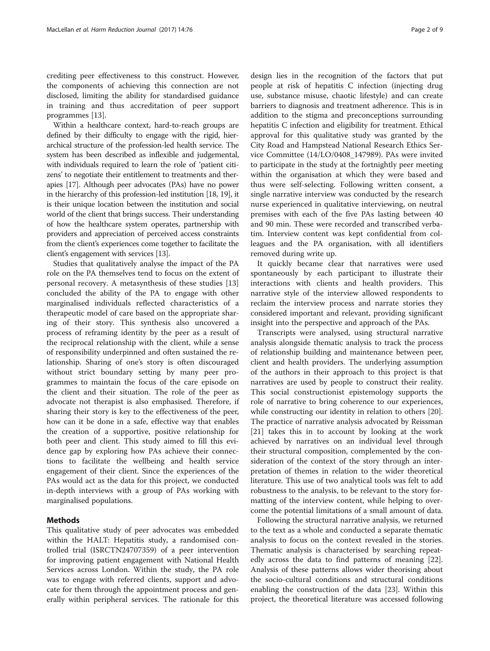crediting peer effectiveness to this construct. However, the components of achieving this connection are not disclosed, limiting the ability for standardised guidance in training and thus accreditation of peer support programmes [\[13\]](#page-8-0).

Within a healthcare context, hard-to-reach groups are defined by their difficulty to engage with the rigid, hierarchical structure of the profession-led health service. The system has been described as inflexible and judgemental, with individuals required to learn the role of 'patient citizens' to negotiate their entitlement to treatments and therapies [\[17\]](#page-8-0). Although peer advocates (PAs) have no power in the hierarchy of this profession-led institution [[18](#page-8-0), [19](#page-8-0)], it is their unique location between the institution and social world of the client that brings success. Their understanding of how the healthcare system operates, partnership with providers and appreciation of perceived access constraints from the client's experiences come together to facilitate the client's engagement with services [\[13\]](#page-8-0).

Studies that qualitatively analyse the impact of the PA role on the PA themselves tend to focus on the extent of personal recovery. A metasynthesis of these studies [[13](#page-8-0)] concluded the ability of the PA to engage with other marginalised individuals reflected characteristics of a therapeutic model of care based on the appropriate sharing of their story. This synthesis also uncovered a process of reframing identity by the peer as a result of the reciprocal relationship with the client, while a sense of responsibility underpinned and often sustained the relationship. Sharing of one's story is often discouraged without strict boundary setting by many peer programmes to maintain the focus of the care episode on the client and their situation. The role of the peer as advocate not therapist is also emphasised. Therefore, if sharing their story is key to the effectiveness of the peer, how can it be done in a safe, effective way that enables the creation of a supportive, positive relationship for both peer and client. This study aimed to fill this evidence gap by exploring how PAs achieve their connections to facilitate the wellbeing and health service engagement of their client. Since the experiences of the PAs would act as the data for this project, we conducted in-depth interviews with a group of PAs working with marginalised populations.

# Methods

This qualitative study of peer advocates was embedded within the HALT: Hepatitis study, a randomised controlled trial (ISRCTN24707359) of a peer intervention for improving patient engagement with National Health Services across London. Within the study, the PA role was to engage with referred clients, support and advocate for them through the appointment process and generally within peripheral services. The rationale for this design lies in the recognition of the factors that put people at risk of hepatitis C infection (injecting drug use, substance misuse, chaotic lifestyle) and can create barriers to diagnosis and treatment adherence. This is in addition to the stigma and preconceptions surrounding hepatitis C infection and eligibility for treatment. Ethical approval for this qualitative study was granted by the City Road and Hampstead National Research Ethics Service Committee (14/LO/0408\_147989). PAs were invited to participate in the study at the fortnightly peer meeting within the organisation at which they were based and thus were self-selecting. Following written consent, a single narrative interview was conducted by the research nurse experienced in qualitative interviewing, on neutral premises with each of the five PAs lasting between 40 and 90 min. These were recorded and transcribed verbatim. Interview content was kept confidential from colleagues and the PA organisation, with all identifiers removed during write up.

It quickly became clear that narratives were used spontaneously by each participant to illustrate their interactions with clients and health providers. This narrative style of the interview allowed respondents to reclaim the interview process and narrate stories they considered important and relevant, providing significant insight into the perspective and approach of the PAs.

Transcripts were analysed, using structural narrative analysis alongside thematic analysis to track the process of relationship building and maintenance between peer, client and health providers. The underlying assumption of the authors in their approach to this project is that narratives are used by people to construct their reality. This social constructionist epistemology supports the role of narrative to bring coherence to our experiences, while constructing our identity in relation to others [\[20](#page-8-0)]. The practice of narrative analysis advocated by Reissman [[21\]](#page-8-0) takes this in to account by looking at the work achieved by narratives on an individual level through their structural composition, complemented by the consideration of the context of the story through an interpretation of themes in relation to the wider theoretical literature. This use of two analytical tools was felt to add robustness to the analysis, to be relevant to the story formatting of the interview content, while helping to overcome the potential limitations of a small amount of data.

Following the structural narrative analysis, we returned to the text as a whole and conducted a separate thematic analysis to focus on the context revealed in the stories. Thematic analysis is characterised by searching repeatedly across the data to find patterns of meaning [\[22](#page-8-0)]. Analysis of these patterns allows wider theorising about the socio-cultural conditions and structural conditions enabling the construction of the data [[23\]](#page-8-0). Within this project, the theoretical literature was accessed following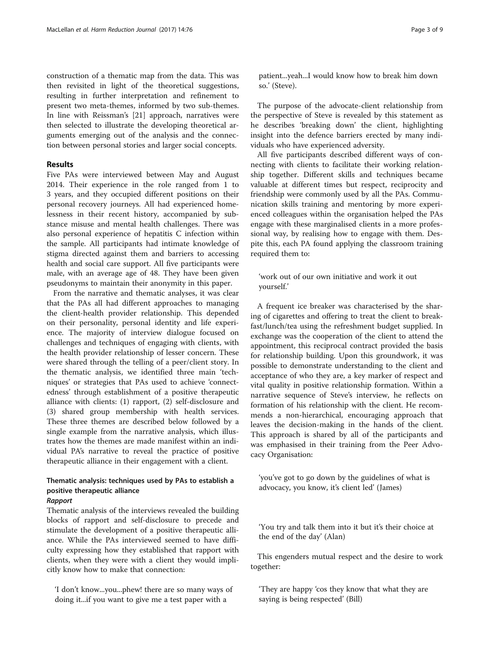construction of a thematic map from the data. This was then revisited in light of the theoretical suggestions, resulting in further interpretation and refinement to present two meta-themes, informed by two sub-themes. In line with Reissman's [\[21\]](#page-8-0) approach, narratives were then selected to illustrate the developing theoretical arguments emerging out of the analysis and the connection between personal stories and larger social concepts.

# Results

Five PAs were interviewed between May and August 2014. Their experience in the role ranged from 1 to 3 years, and they occupied different positions on their personal recovery journeys. All had experienced homelessness in their recent history, accompanied by substance misuse and mental health challenges. There was also personal experience of hepatitis C infection within the sample. All participants had intimate knowledge of stigma directed against them and barriers to accessing health and social care support. All five participants were male, with an average age of 48. They have been given pseudonyms to maintain their anonymity in this paper.

From the narrative and thematic analyses, it was clear that the PAs all had different approaches to managing the client-health provider relationship. This depended on their personality, personal identity and life experience. The majority of interview dialogue focused on challenges and techniques of engaging with clients, with the health provider relationship of lesser concern. These were shared through the telling of a peer/client story. In the thematic analysis, we identified three main 'techniques' or strategies that PAs used to achieve 'connectedness' through establishment of a positive therapeutic alliance with clients: (1) rapport, (2) self-disclosure and (3) shared group membership with health services. These three themes are described below followed by a single example from the narrative analysis, which illustrates how the themes are made manifest within an individual PA's narrative to reveal the practice of positive therapeutic alliance in their engagement with a client.

# Thematic analysis: techniques used by PAs to establish a positive therapeutic alliance Rapport

Thematic analysis of the interviews revealed the building blocks of rapport and self-disclosure to precede and stimulate the development of a positive therapeutic alliance. While the PAs interviewed seemed to have difficulty expressing how they established that rapport with clients, when they were with a client they would implicitly know how to make that connection:

'I don't know...you...phew! there are so many ways of doing it...if you want to give me a test paper with a

patient...yeah...I would know how to break him down so.' (Steve).

The purpose of the advocate-client relationship from the perspective of Steve is revealed by this statement as he describes 'breaking down' the client, highlighting insight into the defence barriers erected by many individuals who have experienced adversity.

All five participants described different ways of connecting with clients to facilitate their working relationship together. Different skills and techniques became valuable at different times but respect, reciprocity and friendship were commonly used by all the PAs. Communication skills training and mentoring by more experienced colleagues within the organisation helped the PAs engage with these marginalised clients in a more professional way, by realising how to engage with them. Despite this, each PA found applying the classroom training required them to:

'work out of our own initiative and work it out yourself.'

A frequent ice breaker was characterised by the sharing of cigarettes and offering to treat the client to breakfast/lunch/tea using the refreshment budget supplied. In exchange was the cooperation of the client to attend the appointment, this reciprocal contract provided the basis for relationship building. Upon this groundwork, it was possible to demonstrate understanding to the client and acceptance of who they are, a key marker of respect and vital quality in positive relationship formation. Within a narrative sequence of Steve's interview, he reflects on formation of his relationship with the client. He recommends a non-hierarchical, encouraging approach that leaves the decision-making in the hands of the client. This approach is shared by all of the participants and was emphasised in their training from the Peer Advocacy Organisation:

'you've got to go down by the guidelines of what is advocacy, you know, it's client led' (James)

'You try and talk them into it but it's their choice at the end of the day' (Alan)

This engenders mutual respect and the desire to work together:

'They are happy 'cos they know that what they are saying is being respected' (Bill)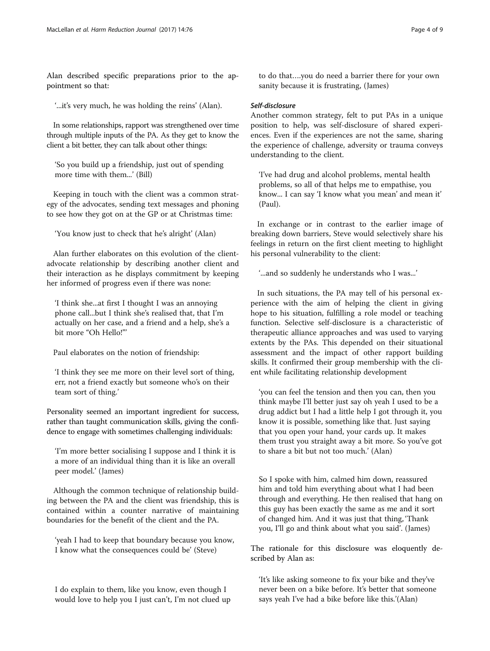Alan described specific preparations prior to the appointment so that:

'...it's very much, he was holding the reins' (Alan).

In some relationships, rapport was strengthened over time through multiple inputs of the PA. As they get to know the client a bit better, they can talk about other things:

'So you build up a friendship, just out of spending more time with them...' (Bill)

Keeping in touch with the client was a common strategy of the advocates, sending text messages and phoning to see how they got on at the GP or at Christmas time:

'You know just to check that he's alright' (Alan)

Alan further elaborates on this evolution of the clientadvocate relationship by describing another client and their interaction as he displays commitment by keeping her informed of progress even if there was none:

'I think she...at first I thought I was an annoying phone call...but I think she's realised that, that I'm actually on her case, and a friend and a help, she's a bit more "Oh Hello!"'

Paul elaborates on the notion of friendship:

'I think they see me more on their level sort of thing, err, not a friend exactly but someone who's on their team sort of thing.'

Personality seemed an important ingredient for success, rather than taught communication skills, giving the confidence to engage with sometimes challenging individuals:

'I'm more better socialising I suppose and I think it is a more of an individual thing than it is like an overall peer model.' (James)

Although the common technique of relationship building between the PA and the client was friendship, this is contained within a counter narrative of maintaining boundaries for the benefit of the client and the PA.

'yeah I had to keep that boundary because you know, I know what the consequences could be' (Steve)

I do explain to them, like you know, even though I would love to help you I just can't, I'm not clued up to do that….you do need a barrier there for your own sanity because it is frustrating, (James)

# Self-disclosure

Another common strategy, felt to put PAs in a unique position to help, was self-disclosure of shared experiences. Even if the experiences are not the same, sharing the experience of challenge, adversity or trauma conveys understanding to the client.

'I've had drug and alcohol problems, mental health problems, so all of that helps me to empathise, you know... I can say 'I know what you mean' and mean it' (Paul).

In exchange or in contrast to the earlier image of breaking down barriers, Steve would selectively share his feelings in return on the first client meeting to highlight his personal vulnerability to the client:

'...and so suddenly he understands who I was...'

In such situations, the PA may tell of his personal experience with the aim of helping the client in giving hope to his situation, fulfilling a role model or teaching function. Selective self-disclosure is a characteristic of therapeutic alliance approaches and was used to varying extents by the PAs. This depended on their situational assessment and the impact of other rapport building skills. It confirmed their group membership with the client while facilitating relationship development

'you can feel the tension and then you can, then you think maybe I'll better just say oh yeah I used to be a drug addict but I had a little help I got through it, you know it is possible, something like that. Just saying that you open your hand, your cards up. It makes them trust you straight away a bit more. So you've got to share a bit but not too much.' (Alan)

So I spoke with him, calmed him down, reassured him and told him everything about what I had been through and everything. He then realised that hang on this guy has been exactly the same as me and it sort of changed him. And it was just that thing, 'Thank you, I'll go and think about what you said'. (James)

The rationale for this disclosure was eloquently described by Alan as:

'It's like asking someone to fix your bike and they've never been on a bike before. It's better that someone says yeah I've had a bike before like this.'(Alan)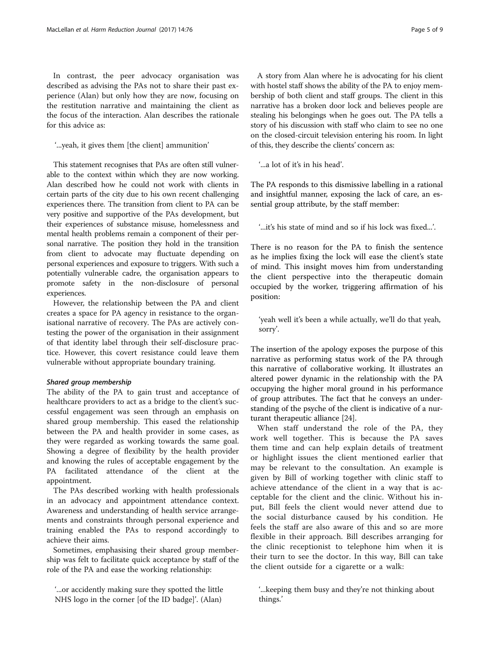In contrast, the peer advocacy organisation was described as advising the PAs not to share their past experience (Alan) but only how they are now, focusing on the restitution narrative and maintaining the client as the focus of the interaction. Alan describes the rationale for this advice as:

'...yeah, it gives them [the client] ammunition'

This statement recognises that PAs are often still vulnerable to the context within which they are now working. Alan described how he could not work with clients in certain parts of the city due to his own recent challenging experiences there. The transition from client to PA can be very positive and supportive of the PAs development, but their experiences of substance misuse, homelessness and mental health problems remain a component of their personal narrative. The position they hold in the transition from client to advocate may fluctuate depending on personal experiences and exposure to triggers. With such a potentially vulnerable cadre, the organisation appears to promote safety in the non-disclosure of personal experiences.

However, the relationship between the PA and client creates a space for PA agency in resistance to the organisational narrative of recovery. The PAs are actively contesting the power of the organisation in their assignment of that identity label through their self-disclosure practice. However, this covert resistance could leave them vulnerable without appropriate boundary training.

# Shared group membership

The ability of the PA to gain trust and acceptance of healthcare providers to act as a bridge to the client's successful engagement was seen through an emphasis on shared group membership. This eased the relationship between the PA and health provider in some cases, as they were regarded as working towards the same goal. Showing a degree of flexibility by the health provider and knowing the rules of acceptable engagement by the PA facilitated attendance of the client at the appointment.

The PAs described working with health professionals in an advocacy and appointment attendance context. Awareness and understanding of health service arrangements and constraints through personal experience and training enabled the PAs to respond accordingly to achieve their aims.

Sometimes, emphasising their shared group membership was felt to facilitate quick acceptance by staff of the role of the PA and ease the working relationship:

'...or accidently making sure they spotted the little NHS logo in the corner [of the ID badge]'. (Alan)

A story from Alan where he is advocating for his client with hostel staff shows the ability of the PA to enjoy membership of both client and staff groups. The client in this narrative has a broken door lock and believes people are stealing his belongings when he goes out. The PA tells a story of his discussion with staff who claim to see no one on the closed-circuit television entering his room. In light of this, they describe the clients' concern as:

'...a lot of it's in his head'.

The PA responds to this dismissive labelling in a rational and insightful manner, exposing the lack of care, an essential group attribute, by the staff member:

'...it's his state of mind and so if his lock was fixed...'.

There is no reason for the PA to finish the sentence as he implies fixing the lock will ease the client's state of mind. This insight moves him from understanding the client perspective into the therapeutic domain occupied by the worker, triggering affirmation of his position:

'yeah well it's been a while actually, we'll do that yeah, sorry'.

The insertion of the apology exposes the purpose of this narrative as performing status work of the PA through this narrative of collaborative working. It illustrates an altered power dynamic in the relationship with the PA occupying the higher moral ground in his performance of group attributes. The fact that he conveys an understanding of the psyche of the client is indicative of a nurturant therapeutic alliance [[24](#page-8-0)].

When staff understand the role of the PA, they work well together. This is because the PA saves them time and can help explain details of treatment or highlight issues the client mentioned earlier that may be relevant to the consultation. An example is given by Bill of working together with clinic staff to achieve attendance of the client in a way that is acceptable for the client and the clinic. Without his input, Bill feels the client would never attend due to the social disturbance caused by his condition. He feels the staff are also aware of this and so are more flexible in their approach. Bill describes arranging for the clinic receptionist to telephone him when it is their turn to see the doctor. In this way, Bill can take the client outside for a cigarette or a walk:

'...keeping them busy and they're not thinking about things.'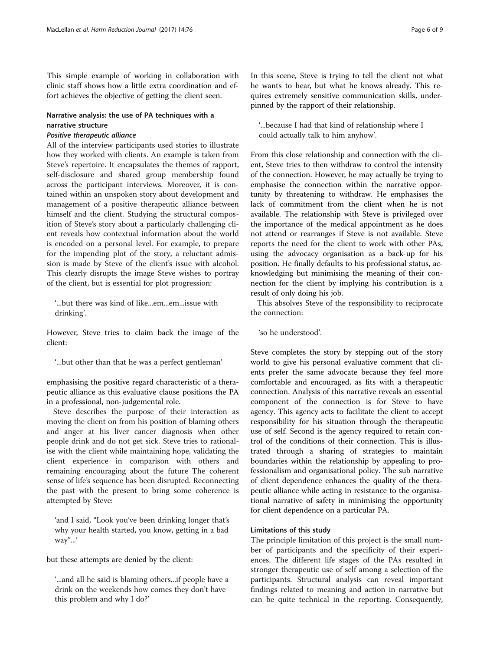This simple example of working in collaboration with clinic staff shows how a little extra coordination and effort achieves the objective of getting the client seen.

# Narrative analysis: the use of PA techniques with a narrative structure

## Positive therapeutic alliance

All of the interview participants used stories to illustrate how they worked with clients. An example is taken from Steve's repertoire. It encapsulates the themes of rapport, self-disclosure and shared group membership found across the participant interviews. Moreover, it is contained within an unspoken story about development and management of a positive therapeutic alliance between himself and the client. Studying the structural composition of Steve's story about a particularly challenging client reveals how contextual information about the world is encoded on a personal level. For example, to prepare for the impending plot of the story, a reluctant admission is made by Steve of the client's issue with alcohol. This clearly disrupts the image Steve wishes to portray of the client, but is essential for plot progression:

'...but there was kind of like...em...em...issue with drinking'.

However, Steve tries to claim back the image of the client:

'...but other than that he was a perfect gentleman'

emphasising the positive regard characteristic of a therapeutic alliance as this evaluative clause positions the PA in a professional, non-judgemental role.

Steve describes the purpose of their interaction as moving the client on from his position of blaming others and anger at his liver cancer diagnosis when other people drink and do not get sick. Steve tries to rationalise with the client while maintaining hope, validating the client experience in comparison with others and remaining encouraging about the future The coherent sense of life's sequence has been disrupted. Reconnecting the past with the present to bring some coherence is attempted by Steve:

'and I said, "Look you've been drinking longer that's why your health started, you know, getting in a bad way"...'

but these attempts are denied by the client:

'...and all he said is blaming others...if people have a drink on the weekends how comes they don't have this problem and why I do?'

In this scene, Steve is trying to tell the client not what he wants to hear, but what he knows already. This requires extremely sensitive communication skills, underpinned by the rapport of their relationship.

'...because I had that kind of relationship where I could actually talk to him anyhow'.

From this close relationship and connection with the client, Steve tries to then withdraw to control the intensity of the connection. However, he may actually be trying to emphasise the connection within the narrative opportunity by threatening to withdraw. He emphasises the lack of commitment from the client when he is not available. The relationship with Steve is privileged over the importance of the medical appointment as he does not attend or rearranges if Steve is not available. Steve reports the need for the client to work with other PAs, using the advocacy organisation as a back-up for his position. He finally defaults to his professional status, acknowledging but minimising the meaning of their connection for the client by implying his contribution is a result of only doing his job.

This absolves Steve of the responsibility to reciprocate the connection:

'so he understood'.

Steve completes the story by stepping out of the story world to give his personal evaluative comment that clients prefer the same advocate because they feel more comfortable and encouraged, as fits with a therapeutic connection. Analysis of this narrative reveals an essential component of the connection is for Steve to have agency. This agency acts to facilitate the client to accept responsibility for his situation through the therapeutic use of self. Second is the agency required to retain control of the conditions of their connection. This is illustrated through a sharing of strategies to maintain boundaries within the relationship by appealing to professionalism and organisational policy. The sub narrative of client dependence enhances the quality of the therapeutic alliance while acting in resistance to the organisational narrative of safety in minimising the opportunity for client dependence on a particular PA.

# Limitations of this study

The principle limitation of this project is the small number of participants and the specificity of their experiences. The different life stages of the PAs resulted in stronger therapeutic use of self among a selection of the participants. Structural analysis can reveal important findings related to meaning and action in narrative but can be quite technical in the reporting. Consequently,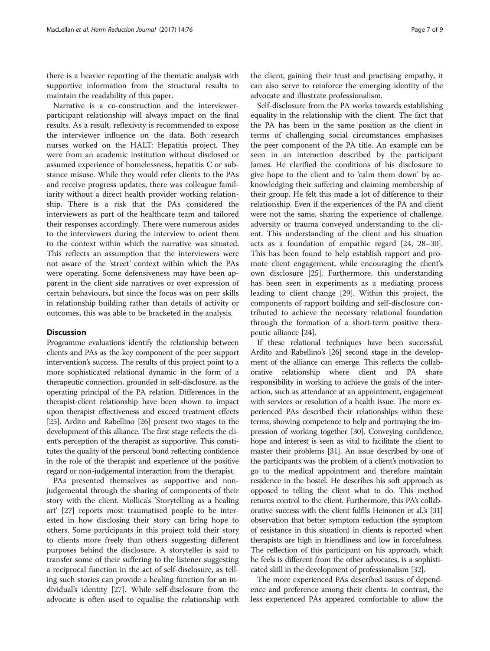there is a heavier reporting of the thematic analysis with supportive information from the structural results to maintain the readability of this paper.

Narrative is a co-construction and the interviewerparticipant relationship will always impact on the final results. As a result, reflexivity is recommended to expose the interviewer influence on the data. Both research nurses worked on the HALT: Hepatitis project. They were from an academic institution without disclosed or assumed experience of homelessness, hepatitis C or substance misuse. While they would refer clients to the PAs and receive progress updates, there was colleague familiarity without a direct health provider working relationship. There is a risk that the PAs considered the interviewers as part of the healthcare team and tailored their responses accordingly. There were numerous asides to the interviewers during the interview to orient them to the context within which the narrative was situated. This reflects an assumption that the interviewers were not aware of the 'street' context within which the PAs were operating. Some defensiveness may have been apparent in the client side narratives or over expression of certain behaviours, but since the focus was on peer skills in relationship building rather than details of activity or outcomes, this was able to be bracketed in the analysis.

# **Discussion**

Programme evaluations identify the relationship between clients and PAs as the key component of the peer support intervention's success. The results of this project point to a more sophisticated relational dynamic in the form of a therapeutic connection, grounded in self-disclosure, as the operating principal of the PA relation. Differences in the therapist-client relationship have been shown to impact upon therapist effectiveness and exceed treatment effects [[25](#page-8-0)]. Ardito and Rabellino [[26](#page-8-0)] present two stages to the development of this alliance. The first stage reflects the client's perception of the therapist as supportive. This constitutes the quality of the personal bond reflecting confidence in the role of the therapist and experience of the positive regard or non-judgemental interaction from the therapist.

PAs presented themselves as supportive and nonjudgemental through the sharing of components of their story with the client. Mollica's 'Storytelling as a healing art' [[27\]](#page-8-0) reports most traumatised people to be interested in how disclosing their story can bring hope to others. Some participants in this project told their story to clients more freely than others suggesting different purposes behind the disclosure. A storyteller is said to transfer some of their suffering to the listener suggesting a reciprocal function in the act of self-disclosure, as telling such stories can provide a healing function for an individual's identity [[27\]](#page-8-0). While self-disclosure from the advocate is often used to equalise the relationship with

the client, gaining their trust and practising empathy, it can also serve to reinforce the emerging identity of the advocate and illustrate professionalism.

Self-disclosure from the PA works towards establishing equality in the relationship with the client. The fact that the PA has been in the same position as the client in terms of challenging social circumstances emphasises the peer component of the PA title. An example can be seen in an interaction described by the participant James. He clarified the conditions of his disclosure to give hope to the client and to 'calm them down' by acknowledging their suffering and claiming membership of their group. He felt this made a lot of difference to their relationship. Even if the experiences of the PA and client were not the same, sharing the experience of challenge, adversity or trauma conveyed understanding to the client. This understanding of the client and his situation acts as a foundation of empathic regard [\[24](#page-8-0), [28](#page-8-0)–[30](#page-8-0)]. This has been found to help establish rapport and promote client engagement, while encouraging the client's own disclosure [[25\]](#page-8-0). Furthermore, this understanding has been seen in experiments as a mediating process leading to client change [\[29](#page-8-0)]. Within this project, the components of rapport building and self-disclosure contributed to achieve the necessary relational foundation through the formation of a short-term positive therapeutic alliance [[24](#page-8-0)].

If these relational techniques have been successful, Ardito and Rabellino's [\[26](#page-8-0)] second stage in the development of the alliance can emerge. This reflects the collaborative relationship where client and PA share responsibility in working to achieve the goals of the interaction, such as attendance at an appointment, engagement with services or resolution of a health issue. The more experienced PAs described their relationships within these terms, showing competence to help and portraying the impression of working together [\[30\]](#page-8-0). Conveying confidence, hope and interest is seen as vital to facilitate the client to master their problems [\[31\]](#page-8-0). An issue described by one of the participants was the problem of a client's motivation to go to the medical appointment and therefore maintain residence in the hostel. He describes his soft approach as opposed to telling the client what to do. This method returns control to the client. Furthermore, this PA's collaborative success with the client fulfils Heinonen et al.'s [\[31](#page-8-0)] observation that better symptom reduction (the symptom of resistance in this situation) in clients is reported when therapists are high in friendliness and low in forcefulness. The reflection of this participant on his approach, which he feels is different from the other advocates, is a sophisticated skill in the development of professionalism [[32](#page-8-0)].

The more experienced PAs described issues of dependence and preference among their clients. In contrast, the less experienced PAs appeared comfortable to allow the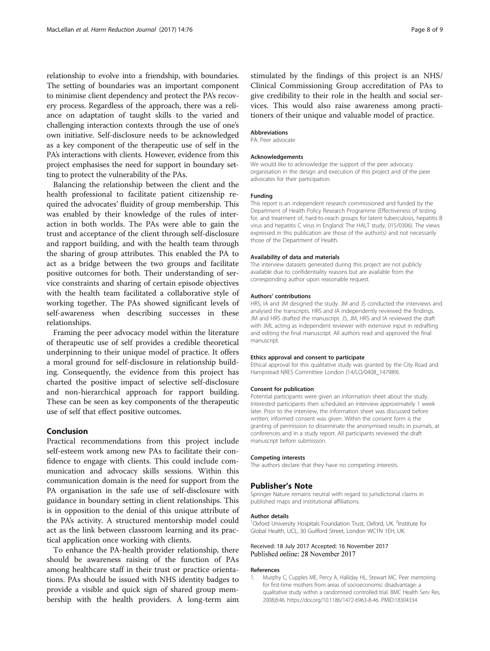<span id="page-7-0"></span>relationship to evolve into a friendship, with boundaries. The setting of boundaries was an important component to minimise client dependency and protect the PA's recovery process. Regardless of the approach, there was a reliance on adaptation of taught skills to the varied and challenging interaction contexts through the use of one's own initiative. Self-disclosure needs to be acknowledged as a key component of the therapeutic use of self in the PA's interactions with clients. However, evidence from this project emphasises the need for support in boundary setting to protect the vulnerability of the PAs.

Balancing the relationship between the client and the health professional to facilitate patient citizenship required the advocates' fluidity of group membership. This was enabled by their knowledge of the rules of interaction in both worlds. The PAs were able to gain the trust and acceptance of the client through self-disclosure and rapport building, and with the health team through the sharing of group attributes. This enabled the PA to act as a bridge between the two groups and facilitate positive outcomes for both. Their understanding of service constraints and sharing of certain episode objectives with the health team facilitated a collaborative style of working together. The PAs showed significant levels of self-awareness when describing successes in these relationships.

Framing the peer advocacy model within the literature of therapeutic use of self provides a credible theoretical underpinning to their unique model of practice. It offers a moral ground for self-disclosure in relationship building. Consequently, the evidence from this project has charted the positive impact of selective self-disclosure and non-hierarchical approach for rapport building. These can be seen as key components of the therapeutic use of self that effect positive outcomes.

## Conclusion

Practical recommendations from this project include self-esteem work among new PAs to facilitate their confidence to engage with clients. This could include communication and advocacy skills sessions. Within this communication domain is the need for support from the PA organisation in the safe use of self-disclosure with guidance in boundary setting in client relationships. This is in opposition to the denial of this unique attribute of the PA's activity. A structured mentorship model could act as the link between classroom learning and its practical application once working with clients.

To enhance the PA-health provider relationship, there should be awareness raising of the function of PAs among healthcare staff in their trust or practice orientations. PAs should be issued with NHS identity badges to provide a visible and quick sign of shared group membership with the health providers. A long-term aim stimulated by the findings of this project is an NHS/ Clinical Commissioning Group accreditation of PAs to give credibility to their role in the health and social services. This would also raise awareness among practitioners of their unique and valuable model of practice.

## Abbreviations

PA: Peer advocate

#### Acknowledgements

We would like to acknowledge the support of the peer advocacy organisation in the design and execution of this project and of the peer advocates for their participation.

#### Funding

This report is an independent research commissioned and funded by the Department of Health Policy Research Programme (Effectiveness of testing for, and treatment of, hard-to-reach groups for latent tuberculosis, hepatitis B virus and hepatitis C virus in England: The HALT study, 015/0306). The views expressed in this publication are those of the author(s) and not necessarily those of the Department of Health.

#### Availability of data and materials

The interview datasets generated during this project are not publicly available due to confidentiality reasons but are available from the corresponding author upon reasonable request.

#### Authors' contributions

HRS, IA and JM designed the study. JM and JS conducted the interviews and analysed the transcripts. HRS and IA independently reviewed the findings. JM and HRS drafted the manuscript. JS, JM, HRS and IA reviewed the draft with JML acting as independent reviewer with extensive input in redrafting and editing the final manuscript. All authors read and approved the final manuscript.

#### Ethics approval and consent to participate

Ethical approval for this qualitative study was granted by the City Road and Hampstead NRES Committee London (14/LO/0408\_147989).

#### Consent for publication

Potential participants were given an information sheet about the study. Interested participants then scheduled an interview approximately 1 week later. Prior to the interview, the information sheet was discussed before written; informed consent was given. Within the consent form is the granting of permission to disseminate the anonymised results in journals, at conferences and in a study report. All participants reviewed the draft manuscript before submission.

#### Competing interests

The authors declare that they have no competing interests.

#### Publisher's Note

Springer Nature remains neutral with regard to jurisdictional claims in published maps and institutional affiliations.

#### Author details

<sup>1</sup>Oxford University Hospitals Foundation Trust, Oxford, UK. <sup>2</sup>Institute for Global Health, UCL, 30 Guilford Street, London WC1N 1EH, UK.

## Received: 18 July 2017 Accepted: 16 November 2017 Published online: 28 November 2017

#### References

1. Murphy C, Cupples ME, Percy A, Halliday HL, Stewart MC. Peer mentoring for first-time mothers from areas of socioeconomic disadvantage: a qualitative study within a randomised controlled trial. BMC Health Serv Res. 2008;8:46.<https://doi.org/10.1186/1472-6963-8-46>. PMID:18304334